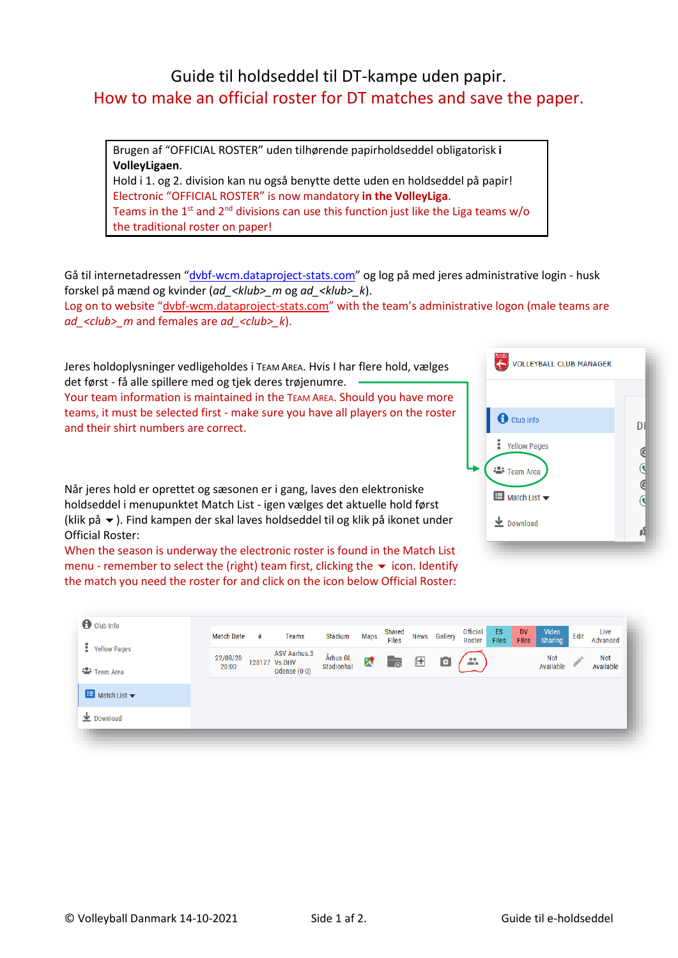## Guide til holdseddel til DT-kampe uden papir. How to make an official roster for DT matches and save the paper.

Brugen af "OFFICIAL ROSTER" uden tilhørende papirholdseddel obligatorisk **i VolleyLigaen**.

Hold i 1. og 2. division kan nu også benytte dette uden en holdseddel på papir! Electronic "OFFICIAL ROSTER" is now mandatory **in the VolleyLiga**. Teams in the  $1^{st}$  and  $2^{nd}$  divisions can use this function just like the Liga teams w/o the traditional roster on paper!

Gå til internetadressen "[dvbf-wcm.dataproject-stats.com](http://dvbf-wcm.dataproject-stats.com/)" og log på med jeres administrative login - husk forskel på mænd og kvinder (*ad\_<klub>\_m* og *ad\_<klub>\_k*).

Log on to website "[dvbf-wcm.dataproject-stats.com](http://dvbf-wcm.dataproject-stats.com/)" with the team's administrative logon (male teams are *ad\_<club>\_m* and females are *ad\_<club>\_k*).

Jeres holdoplysninger vedligeholdes i TEAM AREA. Hvis I har flere hold, vælges det først - få alle spillere med og tjek deres trøjenumre.

Your team information is maintained in the TEAM AREA. Should you have more teams, it must be selected first - make sure you have all players on the roster and their shirt numbers are correct.

Når jeres hold er oprettet og sæsonen er i gang, laves den elektroniske holdseddel i menupunktet Match List - igen vælges det aktuelle hold først (klik på  $\blacktriangleright$ ). Find kampen der skal laves holdseddel til og klik på ikonet under Official Roster:

When the season is underway the electronic roster is found in the Match List menu - remember to select the (right) team first, clicking the  $\bullet$  icon. Identify the match you need the roster for and click on the icon below Official Roster:

| <b>VOLLEYBALL CLUB MANAGER</b>                  |        |
|-------------------------------------------------|--------|
|                                                 |        |
| <b>O</b> Club Info                              | Dŀ     |
| <b>Wellow Pages</b>                             |        |
| <sup>22</sup> Team Area                         | ى<br>© |
| $\blacksquare$ Match List $\blacktriangleright$ |        |
| $\bigstar$ Download                             |        |

| $\bigcirc$ Club Info                |                   |   |                                                        |                         |              | Shared               |   |              | <b>Official</b> | ES    | <b>DV</b>    | Video            |      | Live             |
|-------------------------------------|-------------------|---|--------------------------------------------------------|-------------------------|--------------|----------------------|---|--------------|-----------------|-------|--------------|------------------|------|------------------|
| <b>S</b> Yellow Pages               | <b>Match Date</b> | # | Teams                                                  | Stadium                 | Maps         | <b>Files</b>         |   | News Gallery | Roster          | Files | <b>Files</b> | Sharing          | Edit | Advanced         |
| <b>· <sup>2</sup></b> Team Area     | 22/09/20<br>20:00 |   | <b>ASV Aarhus.3</b><br>128127 Vs DHV<br>Odense $(0-0)$ | Århus Gl.<br>Stadionhal | $\mathbf{X}$ | $\overline{\bullet}$ | 匡 | $\bullet$    | 蒜               |       |              | Not<br>Available |      | Not<br>Available |
| Match List $\blacktriangledown$     |                   |   |                                                        |                         |              |                      |   |              |                 |       |              |                  |      |                  |
| $\overline{\mathbf{\Psi}}$ Download |                   |   |                                                        |                         |              |                      |   |              |                 |       |              |                  |      |                  |